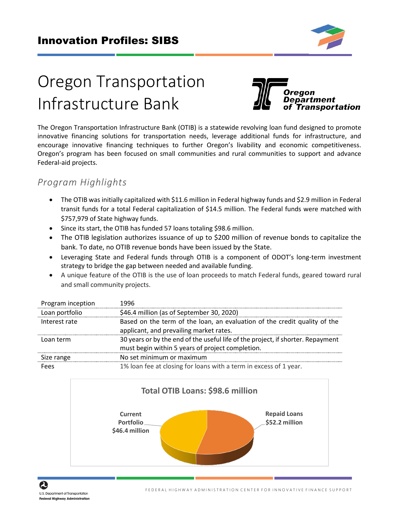

# Oregon Transportation Infrastructure Bank



The Oregon Transportation Infrastructure Bank (OTIB) is a statewide revolving loan fund designed to promote innovative financing solutions for transportation needs, leverage additional funds for infrastructure, and encourage innovative financing techniques to further Oregon's livability and economic competitiveness. Oregon's program has been focused on small communities and rural communities to support and advance Federal-aid projects.

# *Program Highlights*

- The OTIB was initially capitalized with \$11.6 million in Federal highway funds and \$2.9 million in Federal transit funds for a total Federal capitalization of \$14.5 million. The Federal funds were matched with \$757,979 of State highway funds.
- Since its start, the OTIB has funded 57 loans totaling \$98.6 million.
- The OTIB legislation authorizes issuance of up to \$200 million of revenue bonds to capitalize the bank. To date, no OTIB revenue bonds have been issued by the State.
- Leveraging State and Federal funds through OTIB is a component of ODOT's long-term investment strategy to bridge the gap between needed and available funding.
- A unique feature of the OTIB is the use of loan proceeds to match Federal funds, geared toward rural and small community projects.

| Program inception | 1996                                                                                                                                |
|-------------------|-------------------------------------------------------------------------------------------------------------------------------------|
| Loan portfolio    | \$46.4 million (as of September 30, 2020)                                                                                           |
| Interest rate     | Based on the term of the loan, an evaluation of the credit quality of the<br>applicant, and prevailing market rates.                |
| Loan term         | 30 years or by the end of the useful life of the project, if shorter. Repayment<br>must begin within 5 years of project completion. |
| Size range        | No set minimum or maximum                                                                                                           |
| Fees              | 1% loan fee at closing for loans with a term in excess of 1 year.                                                                   |